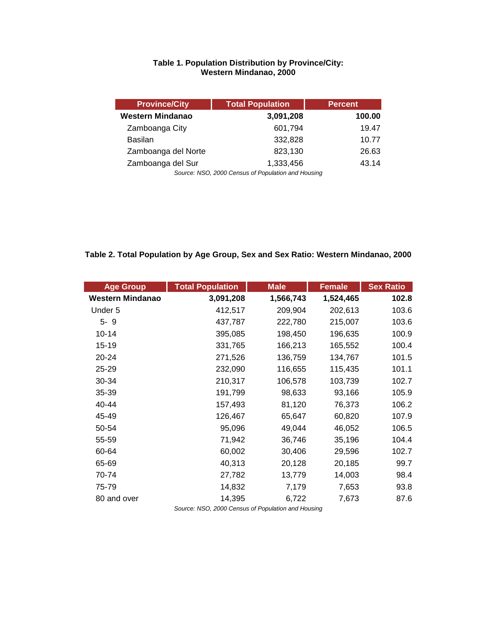# **Table 1. Population Distribution by Province/City: Western Mindanao, 2000**

| <b>Province/City</b>    | <b>Total Population</b>                            | <b>Percent</b> |
|-------------------------|----------------------------------------------------|----------------|
| <b>Western Mindanao</b> | 3,091,208                                          | 100.00         |
| Zamboanga City          | 601,794                                            | 19.47          |
| <b>Basilan</b>          | 332,828                                            | 10.77          |
| Zamboanga del Norte     | 823,130                                            | 26.63          |
| Zamboanga del Sur       | 1,333,456                                          | 43.14          |
|                         | Source: NSO, 2000 Census of Population and Housing |                |

# **Table 2. Total Population by Age Group, Sex and Sex Ratio: Western Mindanao, 2000**

| <b>Age Group</b>        | <b>Total Population</b> | <b>Male</b> | <b>Female</b> | <b>Sex Ratio</b> |
|-------------------------|-------------------------|-------------|---------------|------------------|
| <b>Western Mindanao</b> | 3,091,208               | 1,566,743   | 1,524,465     | 102.8            |
| Under 5                 | 412,517                 | 209,904     | 202,613       | 103.6            |
| $5 - 9$                 | 437,787                 | 222,780     | 215,007       | 103.6            |
| $10 - 14$               | 395,085                 | 198,450     | 196,635       | 100.9            |
| $15 - 19$               | 331,765                 | 166,213     | 165,552       | 100.4            |
| $20 - 24$               | 271,526                 | 136,759     | 134,767       | 101.5            |
| 25-29                   | 232,090                 | 116,655     | 115,435       | 101.1            |
| 30-34                   | 210,317                 | 106,578     | 103,739       | 102.7            |
| 35-39                   | 191,799                 | 98,633      | 93,166        | 105.9            |
| 40-44                   | 157,493                 | 81,120      | 76,373        | 106.2            |
| 45-49                   | 126,467                 | 65,647      | 60,820        | 107.9            |
| 50-54                   | 95,096                  | 49,044      | 46,052        | 106.5            |
| 55-59                   | 71,942                  | 36,746      | 35,196        | 104.4            |
| 60-64                   | 60,002                  | 30,406      | 29,596        | 102.7            |
| 65-69                   | 40,313                  | 20,128      | 20,185        | 99.7             |
| 70-74                   | 27,782                  | 13,779      | 14,003        | 98.4             |
| 75-79                   | 14,832                  | 7,179       | 7,653         | 93.8             |
| 80 and over             | 14,395                  | 6,722       | 7,673         | 87.6             |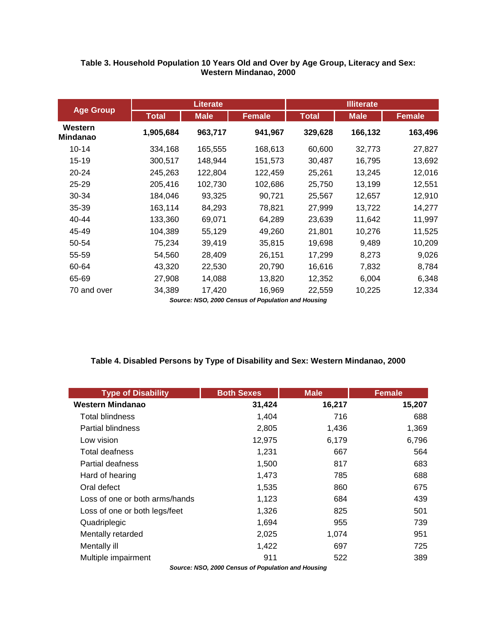|                            | <b>Literate</b> |             |               |              |             | <b>Illiterate</b> |  |
|----------------------------|-----------------|-------------|---------------|--------------|-------------|-------------------|--|
| <b>Age Group</b>           | <b>Total</b>    | <b>Male</b> | <b>Female</b> | <b>Total</b> | <b>Male</b> | <b>Female</b>     |  |
| Western<br><b>Mindanao</b> | 1,905,684       | 963,717     | 941,967       | 329,628      | 166,132     | 163,496           |  |
| $10 - 14$                  | 334,168         | 165,555     | 168,613       | 60,600       | 32,773      | 27,827            |  |
| $15 - 19$                  | 300,517         | 148,944     | 151,573       | 30,487       | 16,795      | 13,692            |  |
| 20-24                      | 245,263         | 122,804     | 122,459       | 25,261       | 13,245      | 12,016            |  |
| 25-29                      | 205,416         | 102,730     | 102,686       | 25,750       | 13,199      | 12,551            |  |
| 30-34                      | 184,046         | 93,325      | 90,721        | 25,567       | 12,657      | 12,910            |  |
| 35-39                      | 163,114         | 84,293      | 78,821        | 27,999       | 13,722      | 14,277            |  |
| 40-44                      | 133,360         | 69,071      | 64,289        | 23,639       | 11,642      | 11,997            |  |
| 45-49                      | 104,389         | 55,129      | 49,260        | 21,801       | 10,276      | 11,525            |  |
| 50-54                      | 75,234          | 39,419      | 35,815        | 19,698       | 9.489       | 10,209            |  |
| 55-59                      | 54,560          | 28,409      | 26,151        | 17,299       | 8,273       | 9,026             |  |
| 60-64                      | 43,320          | 22,530      | 20,790        | 16,616       | 7,832       | 8,784             |  |
| 65-69                      | 27,908          | 14,088      | 13,820        | 12,352       | 6,004       | 6,348             |  |
| 70 and over                | 34,389          | 17,420      | 16,969        | 22,559       | 10,225      | 12,334            |  |

# **Table 3. Household Population 10 Years Old and Over by Age Group, Literacy and Sex: Western Mindanao, 2000**

**Source: NSO, 2000 Census of Population and Housing** 

### **Table 4. Disabled Persons by Type of Disability and Sex: Western Mindanao, 2000**

| <b>Type of Disability</b>      | <b>Both Sexes</b> | <b>Male</b> | <b>Female</b> |
|--------------------------------|-------------------|-------------|---------------|
| Western Mindanao               | 31,424            | 16,217      | 15,207        |
| <b>Total blindness</b>         | 1,404             | 716         | 688           |
| Partial blindness              | 2,805             | 1,436       | 1,369         |
| Low vision                     | 12,975            | 6,179       | 6,796         |
| Total deafness                 | 1,231             | 667         | 564           |
| Partial deafness               | 1,500             | 817         | 683           |
| Hard of hearing                | 1,473             | 785         | 688           |
| Oral defect                    | 1,535             | 860         | 675           |
| Loss of one or both arms/hands | 1,123             | 684         | 439           |
| Loss of one or both legs/feet  | 1,326             | 825         | 501           |
| Quadriplegic                   | 1,694             | 955         | 739           |
| Mentally retarded              | 2,025             | 1,074       | 951           |
| Mentally ill                   | 1,422             | 697         | 725           |
| Multiple impairment            | 911               | 522         | 389           |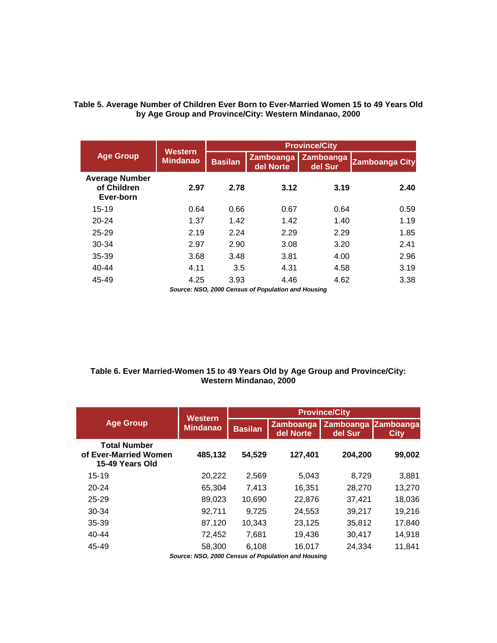|                                                    |                            | <b>Province/City</b> |                        |                      |                       |
|----------------------------------------------------|----------------------------|----------------------|------------------------|----------------------|-----------------------|
| <b>Age Group</b>                                   | Western<br><b>Mindanao</b> | <b>Basilan</b>       | Zamboanga<br>del Norte | Zamboanga<br>del Sur | <b>Zamboanga City</b> |
| <b>Average Number</b><br>of Children<br>Ever-born  | 2.97                       | 2.78                 | 3.12                   | 3.19                 | 2.40                  |
| $15-19$                                            | 0.64                       | 0.66                 | 0.67                   | 0.64                 | 0.59                  |
| $20 - 24$                                          | 1.37                       | 1.42                 | 1.42                   | 1.40                 | 1.19                  |
| 25-29                                              | 2.19                       | 2.24                 | 2.29                   | 2.29                 | 1.85                  |
| $30 - 34$                                          | 2.97                       | 2.90                 | 3.08                   | 3.20                 | 2.41                  |
| $35 - 39$                                          | 3.68                       | 3.48                 | 3.81                   | 4.00                 | 2.96                  |
| 40-44                                              | 4.11                       | 3.5                  | 4.31                   | 4.58                 | 3.19                  |
| 45-49                                              | 4.25                       | 3.93                 | 4.46                   | 4.62                 | 3.38                  |
| Source: NSO, 2000 Census of Population and Housing |                            |                      |                        |                      |                       |

**Table 5. Average Number of Children Ever Born to Ever-Married Women 15 to 49 Years Old by Age Group and Province/City: Western Mindanao, 2000** 

# **Table 6. Ever Married-Women 15 to 49 Years Old by Age Group and Province/City: Western Mindanao, 2000**

|                                                                 | Western         | <b>Province/City</b> |                               |                      |                   |  |
|-----------------------------------------------------------------|-----------------|----------------------|-------------------------------|----------------------|-------------------|--|
| <b>Age Group</b>                                                | <b>Mindanao</b> | <b>Basilan</b>       | <b>Zamboanga</b><br>del Norte | Zamboanga<br>del Sur | Zamboanga<br>City |  |
| <b>Total Number</b><br>of Ever-Married Women<br>15-49 Years Old | 485,132         | 54,529               | 127,401                       | 204,200              | 99,002            |  |
| $15 - 19$                                                       | 20,222          | 2,569                | 5,043                         | 8,729                | 3,881             |  |
| $20 - 24$                                                       | 65,304          | 7,413                | 16,351                        | 28,270               | 13,270            |  |
| $25 - 29$                                                       | 89,023          | 10,690               | 22,876                        | 37,421               | 18,036            |  |
| 30-34                                                           | 92.711          | 9.725                | 24,553                        | 39,217               | 19,216            |  |
| $35-39$                                                         | 87,120          | 10,343               | 23,125                        | 35,812               | 17,840            |  |
| $40 - 44$                                                       | 72,452          | 7,681                | 19,436                        | 30.417               | 14,918            |  |
| 45-49                                                           | 58,300          | 6.108                | 16.017                        | 24.334               | 11,841            |  |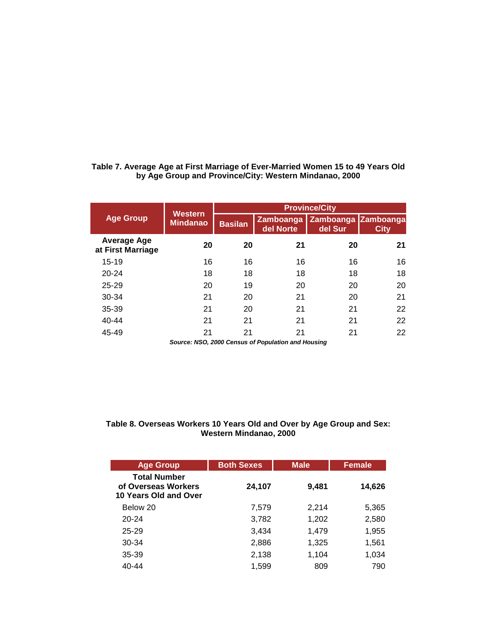| Table 7. Average Age at First Marriage of Ever-Married Women 15 to 49 Years Old |
|---------------------------------------------------------------------------------|
| by Age Group and Province/City: Western Mindanao, 2000                          |

|                                                    | Western         | <b>Province/City</b> |                        |                                |             |
|----------------------------------------------------|-----------------|----------------------|------------------------|--------------------------------|-------------|
| <b>Age Group</b>                                   | <b>Mindanao</b> | <b>Basilan</b>       | Zamboanga<br>del Norte | Zamboanga Zamboanga<br>del Sur | <b>City</b> |
| Average Age<br>at First Marriage                   | 20              | 20                   | 21                     | 20                             | 21          |
| $15 - 19$                                          | 16              | 16                   | 16                     | 16                             | 16          |
| $20 - 24$                                          | 18              | 18                   | 18                     | 18                             | 18          |
| $25 - 29$                                          | 20              | 19                   | 20                     | 20                             | 20          |
| $30 - 34$                                          | 21              | 20                   | 21                     | 20                             | 21          |
| $35 - 39$                                          | 21              | 20                   | 21                     | 21                             | 22          |
| 40-44                                              | 21              | 21                   | 21                     | 21                             | 22          |
| 45-49                                              | 21              | 21                   | 21                     | 21                             | 22          |
| Source: NSO, 2000 Census of Population and Housing |                 |                      |                        |                                |             |

#### **Table 8. Overseas Workers 10 Years Old and Over by Age Group and Sex: Western Mindanao, 2000**

| <b>Age Group</b>                                                    | <b>Both Sexes</b> | <b>Male</b> | <b>Female</b> |
|---------------------------------------------------------------------|-------------------|-------------|---------------|
| <b>Total Number</b><br>of Overseas Workers<br>10 Years Old and Over | 24,107            | 9,481       | 14,626        |
| Below 20                                                            | 7,579             | 2,214       | 5,365         |
| $20 - 24$                                                           | 3,782             | 1,202       | 2,580         |
| $25 - 29$                                                           | 3,434             | 1,479       | 1,955         |
| 30-34                                                               | 2,886             | 1,325       | 1,561         |
| $35 - 39$                                                           | 2,138             | 1,104       | 1,034         |
| 40-44                                                               | 1,599             | 809         | 790           |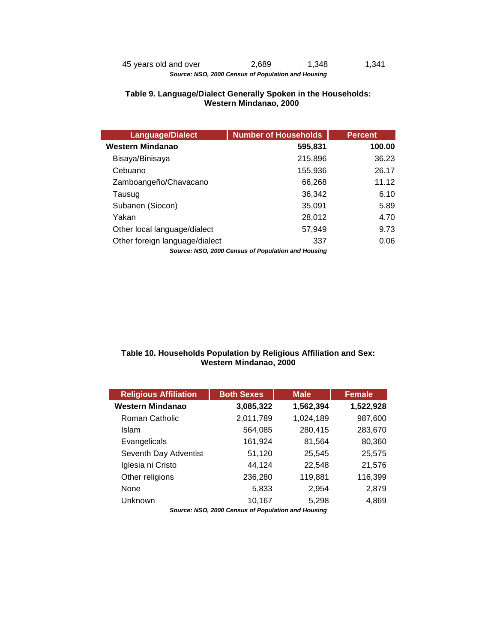| 45 years old and over | 2,689                                              | 1,348 | 1,341 |
|-----------------------|----------------------------------------------------|-------|-------|
|                       | Source: NSO, 2000 Census of Population and Housing |       |       |

#### **Table 9. Language/Dialect Generally Spoken in the Households: Western Mindanao, 2000**

| <b>Language/Dialect</b>        | <b>Number of Households</b>                        | <b>Percent</b> |
|--------------------------------|----------------------------------------------------|----------------|
| Western Mindanao               | 595,831                                            | 100.00         |
| Bisaya/Binisaya                | 215,896                                            | 36.23          |
| Cebuano                        | 155,936                                            | 26.17          |
| Zamboangeño/Chavacano          | 66,268                                             | 11.12          |
| Tausug                         | 36,342                                             | 6.10           |
| Subanen (Siocon)               | 35,091                                             | 5.89           |
| Yakan                          | 28,012                                             | 4.70           |
| Other local language/dialect   | 57,949                                             | 9.73           |
| Other foreign language/dialect | 337                                                | 0.06           |
|                                | Source: NSO, 2000 Census of Population and Housing |                |

#### **Table 10. Households Population by Religious Affiliation and Sex: Western Mindanao, 2000**

| <b>Religious Affiliation</b> | <b>Both Sexes</b> | <b>Male</b> | <b>Female</b> |
|------------------------------|-------------------|-------------|---------------|
| <b>Western Mindanao</b>      | 3,085,322         | 1,562,394   | 1,522,928     |
| Roman Catholic               | 2,011,789         | 1,024,189   | 987,600       |
| <b>Islam</b>                 | 564,085           | 280,415     | 283,670       |
| Evangelicals                 | 161,924           | 81,564      | 80,360        |
| Seventh Day Adventist        | 51,120            | 25,545      | 25,575        |
| Iglesia ni Cristo            | 44,124            | 22,548      | 21,576        |
| Other religions              | 236,280           | 119,881     | 116,399       |
| None                         | 5,833             | 2,954       | 2,879         |
| Unknown                      | 10,167            | 5,298       | 4,869         |
|                              |                   |             |               |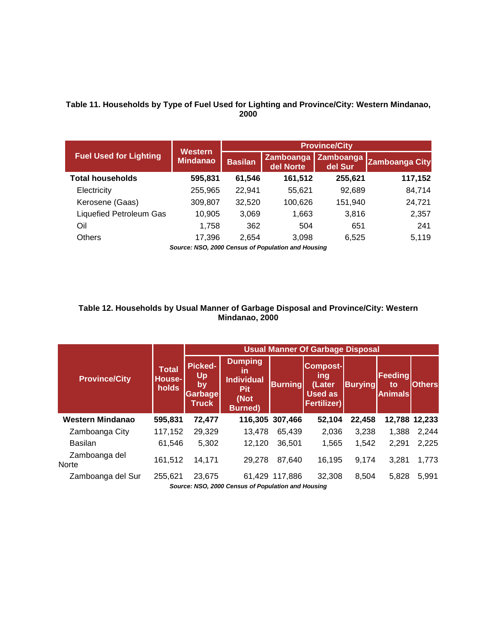# **Table 11. Households by Type of Fuel Used for Lighting and Province/City: Western Mindanao, 2000**

|                                | <b>Western</b>  | <b>Province/City</b> |                        |                      |                       |  |  |  |
|--------------------------------|-----------------|----------------------|------------------------|----------------------|-----------------------|--|--|--|
| <b>Fuel Used for Lighting</b>  | <b>Mindanao</b> | <b>Basilan</b>       | Zamboanga<br>del Norte | Zamboanga<br>del Sur | <b>Zamboanga City</b> |  |  |  |
| <b>Total households</b>        | 595,831         | 61,546               | 161,512                | 255,621              | 117,152               |  |  |  |
| Electricity                    | 255,965         | 22,941               | 55,621                 | 92,689               | 84,714                |  |  |  |
| Kerosene (Gaas)                | 309,807         | 32,520               | 100,626                | 151,940              | 24,721                |  |  |  |
| <b>Liquefied Petroleum Gas</b> | 10,905          | 3,069                | 1,663                  | 3,816                | 2,357                 |  |  |  |
| Oil                            | 1.758           | 362                  | 504                    | 651                  | 241                   |  |  |  |
| Others                         | 17,396          | 2,654                | 3.098                  | 6.525                | 5,119                 |  |  |  |

**Source: NSO, 2000 Census of Population and Housing** 

# **Table 12. Households by Usual Manner of Garbage Disposal and Province/City: Western Mindanao, 2000**

|                               |                                                    | <b>Usual Manner Of Garbage Disposal</b>                      |                                                                                           |                 |                                                                    |                |                                        |               |  |  |
|-------------------------------|----------------------------------------------------|--------------------------------------------------------------|-------------------------------------------------------------------------------------------|-----------------|--------------------------------------------------------------------|----------------|----------------------------------------|---------------|--|--|
| <b>Province/City</b>          | <b>Total</b><br><b>House-</b><br>holds             | <b>Picked-</b><br>Up<br>by<br><b>Garbage</b><br><b>Truck</b> | <b>Dumping</b><br><b>in</b><br><b>Individual</b><br><b>Pit</b><br>(Not<br><b>Burned</b> ) | <b>Burning</b>  | <b>Compost-</b><br>ing,<br>(Later<br>Used as<br><b>Fertilizer)</b> | <b>Burying</b> | Feeding<br><b>to</b><br><b>Animals</b> | <b>Others</b> |  |  |
| <b>Western Mindanao</b>       | 595,831                                            | 72,477                                                       |                                                                                           | 116,305 307,466 | 52,104                                                             | 22,458         |                                        | 12,788 12,233 |  |  |
| Zamboanga City                | 117,152                                            | 29,329                                                       | 13.478                                                                                    | 65,439          | 2,036                                                              | 3,238          | 1,388                                  | 2,244         |  |  |
| Basilan                       | 61,546                                             | 5,302                                                        | 12.120                                                                                    | 36.501          | 1,565                                                              | 1,542          | 2,291                                  | 2,225         |  |  |
| Zamboanga del<br><b>Norte</b> | 161,512                                            | 14.171                                                       | 29.278                                                                                    | 87.640          | 16.195                                                             | 9.174          | 3.281                                  | 1,773         |  |  |
| Zamboanga del Sur             | 255,621                                            | 23,675                                                       |                                                                                           | 61.429 117.886  | 32,308                                                             | 8,504          | 5,828                                  | 5,991         |  |  |
|                               | Source: NSO, 2000 Census of Population and Housing |                                                              |                                                                                           |                 |                                                                    |                |                                        |               |  |  |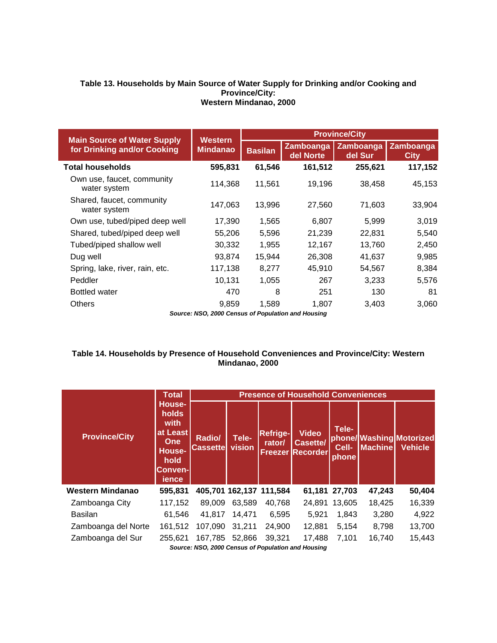## **Table 13. Households by Main Source of Water Supply for Drinking and/or Cooking and Province/City: Western Mindanao, 2000**

|                                                                   |                            | <b>Province/City</b> |                               |                      |                          |  |  |  |
|-------------------------------------------------------------------|----------------------------|----------------------|-------------------------------|----------------------|--------------------------|--|--|--|
| <b>Main Source of Water Supply</b><br>for Drinking and/or Cooking | Western<br><b>Mindanao</b> | <b>Basilan</b>       | <b>Zamboanga</b><br>del Norte | Zamboanga<br>del Sur | Zamboanga<br><b>City</b> |  |  |  |
| <b>Total households</b>                                           | 595,831                    | 61,546               | 161,512                       | 255,621              | 117,152                  |  |  |  |
| Own use, faucet, community<br>water system                        | 114,368                    | 11,561               | 19,196                        | 38,458               | 45,153                   |  |  |  |
| Shared, faucet, community<br>water system                         | 147,063                    | 13,996               | 27,560                        | 71,603               | 33,904                   |  |  |  |
| Own use, tubed/piped deep well                                    | 17,390                     | 1,565                | 6,807                         | 5,999                | 3,019                    |  |  |  |
| Shared, tubed/piped deep well                                     | 55,206                     | 5,596                | 21,239                        | 22,831               | 5,540                    |  |  |  |
| Tubed/piped shallow well                                          | 30,332                     | 1,955                | 12,167                        | 13,760               | 2,450                    |  |  |  |
| Dug well                                                          | 93,874                     | 15,944               | 26,308                        | 41,637               | 9,985                    |  |  |  |
| Spring, lake, river, rain, etc.                                   | 117,138                    | 8,277                | 45,910                        | 54,567               | 8,384                    |  |  |  |
| Peddler                                                           | 10,131                     | 1,055                | 267                           | 3,233                | 5,576                    |  |  |  |
| <b>Bottled water</b>                                              | 470                        | 8                    | 251                           | 130                  | 81                       |  |  |  |
| <b>Others</b>                                                     | 9,859                      | 1,589                | 1,807                         | 3,403                | 3,060                    |  |  |  |

**Source: NSO, 2000 Census of Population and Housing** 

# **Table 14. Households by Presence of Household Conveniences and Province/City: Western Mindanao, 2000**

|                         | <b>Total</b>                                                                                    |                           | <b>Presence of Household Conveniences</b> |                         |                                                            |                         |                |                                            |  |  |
|-------------------------|-------------------------------------------------------------------------------------------------|---------------------------|-------------------------------------------|-------------------------|------------------------------------------------------------|-------------------------|----------------|--------------------------------------------|--|--|
| <b>Province/City</b>    | House-<br>holds<br>with<br>at Least<br><b>One</b><br>House-<br>hold<br>Conven-l<br><b>ience</b> | Radio/<br><b>Cassette</b> | Tele-<br>vision                           | Refrige-<br>rator/      | <b>Video</b><br><b>Casette/</b><br><b>Freezer Recorder</b> | Tele-<br>Cell-<br>phone | <b>Machine</b> | phone/ Washing Motorized<br><b>Vehicle</b> |  |  |
| <b>Western Mindanao</b> | 595,831                                                                                         |                           |                                           | 405,701 162,137 111,584 |                                                            | 61,181 27,703           | 47,243         | 50,404                                     |  |  |
| Zamboanga City          | 117,152                                                                                         | 89.009                    | 63,589                                    | 40,768                  |                                                            | 24,891 13,605           | 18,425         | 16,339                                     |  |  |
| Basilan                 | 61,546                                                                                          | 41.817                    | 14.471                                    | 6,595                   | 5.921                                                      | 1,843                   | 3,280          | 4,922                                      |  |  |
| Zamboanga del Norte     | 161,512                                                                                         | 107,090                   | 31.211                                    | 24,900                  | 12.881                                                     | 5,154                   | 8,798          | 13,700                                     |  |  |
| Zamboanga del Sur       | 255.621                                                                                         | 167,785                   | 52,866                                    | 39.321                  | 17.488                                                     | 7,101                   | 16,740         | 15,443                                     |  |  |
|                         |                                                                                                 |                           |                                           |                         | Source: NSO, 2000 Census of Population and Housing         |                         |                |                                            |  |  |